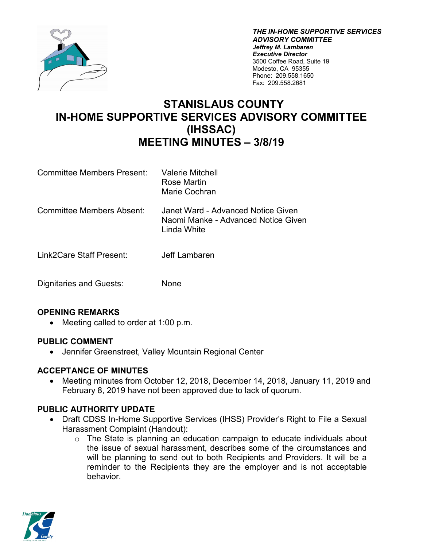

*THE IN-HOME SUPPORTIVE SERVICES ADVISORY COMMITTEE Jeffrey M. Lambaren Executive Director* 3500 Coffee Road, Suite 19 Modesto, CA 95355 Phone: 209.558.1650 Fax: 209.558.2681

# **STANISLAUS COUNTY IN-HOME SUPPORTIVE SERVICES ADVISORY COMMITTEE (IHSSAC) MEETING MINUTES – 3/8/19**

- Committee Members Present: Valerie Mitchell Rose Martin
	- Marie Cochran
- Committee Members Absent: Janet Ward Advanced Notice Given Naomi Manke - Advanced Notice Given Linda White
- Link2Care Staff Present: Jeff Lambaren
- Dignitaries and Guests: None

## **OPENING REMARKS**

• Meeting called to order at 1:00 p.m.

#### **PUBLIC COMMENT**

• Jennifer Greenstreet, Valley Mountain Regional Center

## **ACCEPTANCE OF MINUTES**

• Meeting minutes from October 12, 2018, December 14, 2018, January 11, 2019 and February 8, 2019 have not been approved due to lack of quorum.

## **PUBLIC AUTHORITY UPDATE**

- Draft CDSS In-Home Supportive Services (IHSS) Provider's Right to File a Sexual Harassment Complaint (Handout):
	- o The State is planning an education campaign to educate individuals about the issue of sexual harassment, describes some of the circumstances and will be planning to send out to both Recipients and Providers. It will be a reminder to the Recipients they are the employer and is not acceptable behavior.

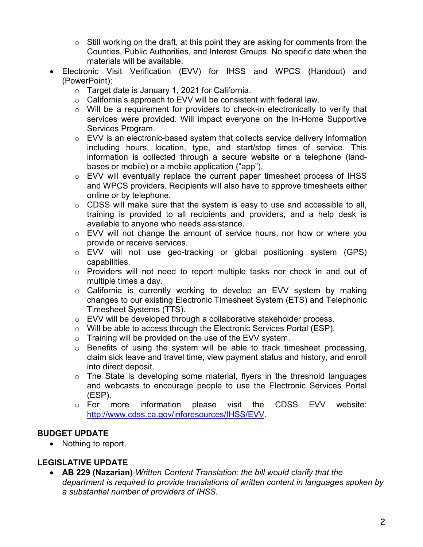- $\circ$  Still working on the draft, at this point they are asking for comments from the Counties, Public Authorities, and Interest Groups. No specific date when the materials will be available.
- Electronic Visit Verification (EVV) for IHSS and WPCS (Handout) and (PowerPoint):
	- o Target date is January 1, 2021 for California.
	- o California's approach to EVV will be consistent with federal law.
	- o Will be a requirement for providers to check-in electronically to verify that services were provided. Will impact everyone on the In-Home Supportive Services Program.
	- o EVV is an electronic-based system that collects service delivery information including hours, location, type, and start/stop times of service. This information is collected through a secure website or a telephone (landbases or mobile) or a mobile application ("app").
	- o EVV will eventually replace the current paper timesheet process of IHSS and WPCS providers. Recipients will also have to approve timesheets either online or by telephone.
	- $\circ$  CDSS will make sure that the system is easy to use and accessible to all, training is provided to all recipients and providers, and a help desk is available to anyone who needs assistance.
	- o EVV will not change the amount of service hours, nor how or where you provide or receive services.
	- o EVV will not use geo-tracking or global positioning system (GPS) capabilities.
	- o Providers will not need to report multiple tasks nor check in and out of multiple times a day.
	- o California is currently working to develop an EVV system by making changes to our existing Electronic Timesheet System (ETS) and Telephonic Timesheet Systems (TTS).
	- o EVV will be developed through a collaborative stakeholder process.
	- o Will be able to access through the Electronic Services Portal (ESP).
	- o Training will be provided on the use of the EVV system.
	- o Benefits of using the system will be able to track timesheet processing, claim sick leave and travel time, view payment status and history, and enroll into direct deposit.
	- o The State is developing some material, flyers in the threshold languages and webcasts to encourage people to use the Electronic Services Portal (ESP).
	- $\circ$  For more information please visit the CDSS EVV website: [http://www.cdss.ca.gov/inforesources/IHSS/EVV.](http://www.cdss.ca.gov/inforesources/IHSS/EVV)

#### **BUDGET UPDATE**

• Nothing to report.

## **LEGISLATIVE UPDATE**

• **AB 229 (Nazarian)**-*Written Content Translation: the bill would clarify that the department is required to provide translations of written content in languages spoken by a substantial number of providers of IHSS.*